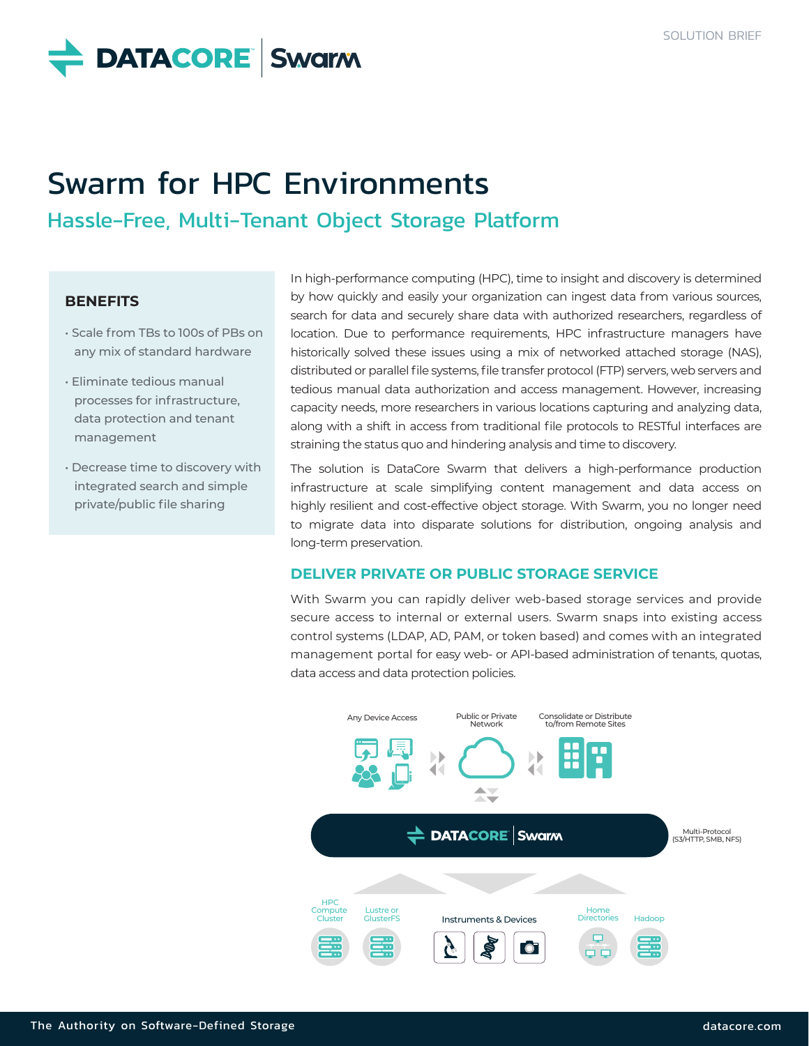**DATACORE** Swarm

# Swarm for HPC Environments

Hassle-Free, Multi-Tenant Object Storage Platform

#### **BENEFITS**

- Scale from TBs to 100s of PBs on any mix of standard hardware
- Eliminate tedious manual processes for infrastructure, data protection and tenant management
- Decrease time to discovery with integrated search and simple private/public file sharing

In high-performance computing (HPC), time to insight and discovery is determined by how quickly and easily your organization can ingest data from various sources, search for data and securely share data with authorized researchers, regardless of location. Due to performance requirements, HPC infrastructure managers have historically solved these issues using a mix of networked attached storage (NAS), distributed or parallel file systems, file transfer protocol (FTP) servers, web servers and tedious manual data authorization and access management. However, increasing capacity needs, more researchers in various locations capturing and analyzing data, along with a shift in access from traditional file protocols to RESTful interfaces are straining the status quo and hindering analysis and time to discovery.

The solution is DataCore Swarm that delivers a high-performance production infrastructure at scale simplifying content management and data access on highly resilient and cost-effective object storage. With Swarm, you no longer need to migrate data into disparate solutions for distribution, ongoing analysis and long-term preservation.

### **DELIVER PRIVATE OR PUBLIC STORAGE SERVICE**

With Swarm you can rapidly deliver web-based storage services and provide secure access to internal or external users. Swarm snaps into existing access control systems (LDAP, AD, PAM, or token based) and comes with an integrated management portal for easy web- or API-based administration of tenants, quotas, data access and data protection policies.